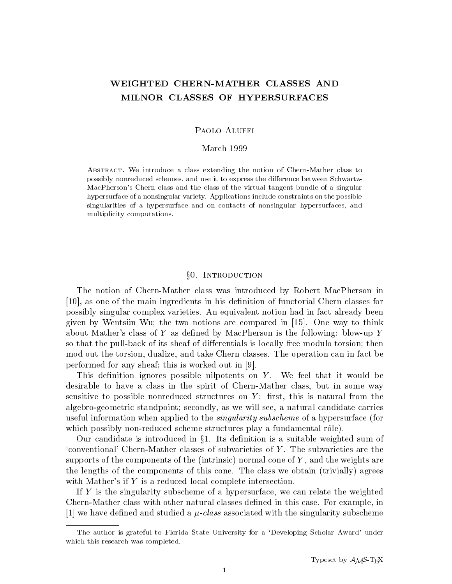# WEIGHTED CHERN-MATHER CLASSES AND MILNOR CLASSES OF HYPERSURFACES

#### PAOLO ALUFFI

#### March 1999

Abstract. We introduce a class extending the notion of Chern-Mather class to possibly nonreduced schemes, and use it to express the difference between Schwartz-MacPherson's Chern class and the class of the virtual tangent bundle of a singular hypersurface of a nonsingular variety. Applications include constraints on the possible singularities of a hypersurface and on contacts of nonsingular hypersurfaces, and multiplicity computations.

# §0. INTRODUCTION

The notion of Chern-Mather class was introduced by Robert MacPherson in  $[10]$ , as one of the main ingredients in his definition of functorial Chern classes for possibly singular complex varieties. An equivalent notion had in fact already been given by Wentsun Wu; the two notions are compared in  $|15|$ . One way to think about Mather's class of Y as defined by MacPherson is the following: blow-up Y so that the pull-back of its sheaf of differentials is locally free modulo torsion; then mod out the torsion, dualize, and take Chern classes. The operation can in fact be performed for any sheaf; this is worked out in [9].

This definition ignores possible nilpotents on  $Y$ . We feel that it would be desirable to have a class in the spirit of Chern-Mather class, but in some way sensitive to possible nonreduced structures on  $Y$ : first, this is natural from the algebro-geometric standpoint; secondly, as we will see, a natural candidate carries useful information when applied to the *singularity subscheme* of a hypersurface (for which possibly non-reduced scheme structures play a fundamental rôle).

Our candidate is introduced in  $\S1$ . Its definition is a suitable weighted sum of  $\alpha$  conventional' Chern-Mather classes of subvarieties of Y. The subvarieties are the supports of the components of the (intrinsic) normal cone of  $Y$ , and the weights are the lengths of the components of this cone. The class we obtain (trivially) agrees with Mather's if Y is a reduced local complete intersection.

If Y is the singularity subscheme of a hypersurface, we can relate the weighted Chern-Mather class with other natural classes defined in this case. For example, in  $[1]$  we have defined and studied a  $\mu$ -class associated with the singularity subscheme

The author is grateful to Florida State University for a `Developing Scholar Award' under which this research was completed.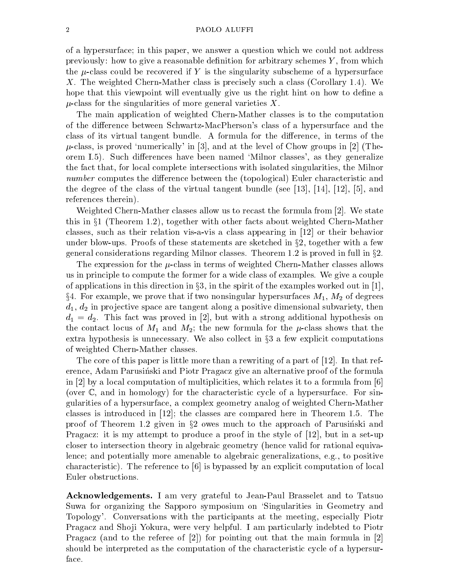#### PAOLO ALUFFI

of a hypersurface; in this paper, we answer a question which we could not address previously: how to give a reasonable definition for arbitrary schemes  $Y$ , from which the  $\mu$ -class could be recovered if Y is the singularity subscheme of a hypersurface X. The weighted Chern-Mather class is precisely such a class (Corollary 1.4). We hope that this viewpoint will eventually give us the right hint on how to define a  $\mu$ -class for the singularities of more general varieties X.

The main application of weighted Chern-Mather classes is to the computation of the difference between Schwartz-MacPherson's class of a hypersurface and the class of its virtual tangent bundle. A formula for the difference, in terms of the  $\mu$ -class, is proved 'numerically' in [3], and at the level of Chow groups in [2] (Theorem I.5). Such differences have been named 'Milnor classes', as they generalize the fact that, for local complete intersections with isolated singularities, the Milnor number computes the difference between the (topological) Euler characteristic and the degree of the class of the virtual tangent bundle (see [13], [14], [12], [5], and references therein).

Weighted Chern-Mather classes allow us to recast the formula from [2]. We state this in  $T$  (Theorem 1.2), this in  $T$  (Theorem 1.2), together with other facts about weighted  $C$ classes, such as their relation vis-a-vis a class appearing in  $[12]$  or their behavior under blow-ups. Proofs of these statements are sketched in  $\S 2$ , together with a few general considerations regarding Milnor classes. Theorem 1.2 is proved in full in  $\S 2$ .

The expression for the  $\mu$ -class in terms of weighted Chern-Mather classes allows us in principle to compute the former for a wide class of examples. We give a couple of applications in this direction in  $\S 3$ , in the spirit of the examples worked out in [1],  $\S4.$  For example, we prove that if two nonsingular hypersurfaces  $M_1$ ,  $M_2$  of degrees  $d_1, d_2$  in projective space are tangent along a positive dimensional subvariety, then  $d_1 = d_2$ . This fact was proved in [2], but with a strong additional hypothesis on the contact locus of  $M_1$  and  $M_2$ ; the new formula for the  $\mu$ -class shows that the extra hypothesis is unnecessary. We also collect in x<sup>3</sup> <sup>a</sup> few explicit computations of weighted Chern-Mather classes.

The core of this paper is little more than a rewriting of a part of [12]. In that reference, Adam Parusinski and Piotr Pragacz give an alternative proof of the formula in [2] by a local computation of multiplicities, which relates it to a formula from [6] (over C, and in homology) for the characteristic cycle of a hypersurface. For singularities of a hypersurface, a complex geometry analog of weighted Chern-Mather classes is introduced in [12]; the classes are compared here in Theorem 1.5. The proof of Theorem 1.2 given in x<sup>2</sup> owes much to the approach of Parusinski and Pragacz: it is my attempt to produce a proof in the style of [12], but in a set-up closer to intersection theory in algebraic geometry (hence valid for rational equivalence; and potentially more amenable to algebraic generalizations, e.g., to positive characteristic). The reference to [6] is bypassed by an explicit computation of local Euler obstructions.

Acknowledgements. I am very grateful to Jean-Paul Brasselet and to Tatsuo Suwa for organizing the Sapporo symposium on `Singularities in Geometry and Topology'. Conversations with the participants at the meeting, especially Piotr Pragacz and Shoji Yokura, were very helpful. I am particularly indebted to Piotr Pragacz (and to the referee of  $|2|$ ) for pointing out that the main formula in  $|2|$ should be interpreted as the computation of the characteristic cycle of a hypersurface.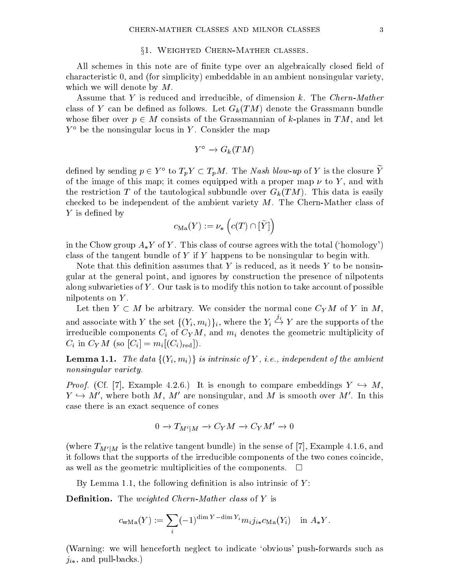#### $\S1.$  Weighted Chern-Mather classes.

All schemes in this note are of finite type over an algebraically closed field of characteristic 0, and (for simplicity) embeddable in an ambient nonsingular variety, which we will denote by  $M$ .

Assume that Y is reduced and irreducible, of dimension k. The Chern-Mather class of Y can be defined as follows. Let  $G_k(TM)$  denote the Grassmann bundle whose ber over p 2 M consists of the Grassmannian of the Grassmannian of the Grassmannian of k-planes in TM, and let  $Y^{\circ}$  be the nonsingular locus in Y. Consider the map

$$
Y^{\circ} \to G_k(TM)
$$

defined by sending  $p \in Y$  to  $T_p Y \subset T_p M$ . The *Ivash blow-up* of *Y* is the closure *Y* of the image of this map; it comes equipped with a proper map  $\nu$  to Y, and with the restriction T of the tautological subbundle over  $G_k(TM)$ . This data is easily checked to be independent of the ambient variety  $M$ . The Chern-Mather class of  $Y$  is defined by

$$
c_{\rm Ma}(Y):=\nu_*\left(c(T)\cap [\widetilde Y]\right)
$$

in the Chow group  $A_*Y$  of Y. This class of course agrees with the total ('homology') class of the tangent bundle of Y if Y happens to be nonsingular to begin with.

Note that this definition assumes that Y is reduced, as it needs Y to be nonsingular at the general point, and ignores by construction the presence of nilpotents along subvarieties of  $Y$ . Our task is to modify this notion to take account of possible nilpotents on Y .

 $\mathcal{L} = \{ \mathcal{L} \mid \mathcal{L} \}$ and associate with  $\alpha$  the set for  $\alpha$  ,  $\alpha$  ,  $\alpha$  ,  $\alpha$  ,  $\alpha$  ,  $\alpha$  ,  $\alpha$  ,  $\alpha$  ,  $\alpha$  ,  $\alpha$  ,  $\alpha$ ji , we are the support of the support of the support of the support of the support of the support of the support of the support of the support of the support of the support of the support of the support of the support of the irreducible components  $C_i$  of  $C_Y M$ , and  $m_i$  denotes the geometric multiplicity of  $C_i$  in  $C_Y M$  (so  $[C_i] = m_i [(C_i)_{\text{red}}]$ ).

**Lemma 1.1.** The data  $\{(Y_i, m_i)\}\$ is intrinsic of Y, i.e., independent of the ambient nonsingular variety.

*Proof.* (Cf. [7], Example 4.2.6.) It is enough to compare embeddings  $Y \hookrightarrow M$ ,  $Y \hookrightarrow M'$ , where both  $M, M'$  are nonsingular, and  $M$  is smooth over  $M'$ . In this case there is an exact sequence of cones

$$
0 \to T_{M'|M} \to C_Y M \to C_Y M' \to 0
$$

(where  $T_{M'|M}$  is the relative tangent bundle) in the sense of [7], Example 4.1.6, and it follows that the supports of the irreducible components of the two cones coincide, as well as the geometric multiplicities of the components.  $\overline{\phantom{a}}$ 

By Lemma 1.1, the following definition is also intrinsic of  $Y$ :

**Definition.** The weighted Chern-Mather class of  $Y$  is

$$
c_{\text{wMa}}(Y) := \sum_{i} (-1)^{\dim Y - \dim Y_i} m_i j_{i*} c_{\text{Ma}}(Y_i) \quad \text{in } A_* Y.
$$

(Warning: we will henceforth neglect to indicate `obvious' push-forwards such as  $j_{i*}$ , and pull-backs.)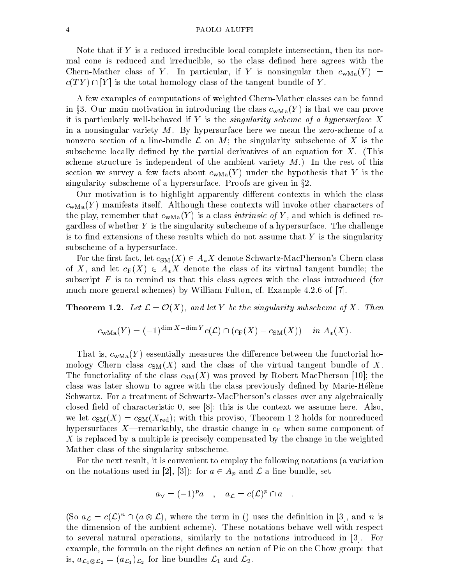Note that if Y is a reduced irreducible local complete intersection, then its normal cone is reduced and irreducible, so the class defined here agrees with the Chern-Mather class of Y. In particular, if Y is nonsingular then  $c_{\text{wMa}}(Y)$  =  $c(T Y) \cap [Y]$  is the total homology class of the tangent bundle of  $Y$ .

A few examples of computations of weighted Chern-Mather classes can be found in §3. Our main motivation in introducing the class  $c_{\text{wMa}}(Y)$  is that we can prove it is particularly well-behaved if Y is the *singularity scheme of a hypersurface* X in a nonsingular variety  $M$ . By hypersurface here we mean the zero-scheme of a nonzero section of a line-bundle L on M; the singularity subscheme of <sup>X</sup> is the subscheme locally defined by the partial derivatives of an equation for  $X$ . (This scheme structure is independent of the ambient variety  $M$ .) In the rest of this section we survey a few facts about  $c_{\text{wMa}}(Y)$  under the hypothesis that Y is the singularity subscheme of a hypersurface. Proofs are given in  $\S2$ .

Our motivation is to highlight apparently different contexts in which the class  $c_{\rm wMa}(Y)$  manifests itself. Although these contexts will invoke other characters of the play, remember that  $c_{\text{wMa}}(Y)$  is a class *intrinsic of* Y, and which is defined regardless of whether  $Y$  is the singularity subscheme of a hypersurface. The challenge is to find extensions of these results which do not assume that  $Y$  is the singularity subscheme of a hypersurface.

For the first fact, let  $c_{\text{SM}}(X) \in A_*X$  denote Schwartz-MacPherson's Chern class of X, and let  $c_F(X) \in A_*X$  denote the class of its virtual tangent bundle; the subscript  $F$  is to remind us that this class agrees with the class introduced (for much more general schemes) by William Fulton, cf. Example 4.2.6 of [7].

**Theorem 1.2.** Let  $\mathcal{L} = \mathcal{O}(X)$ , and let Y be the singularity subscheme of X. Then

$$
c_{\text{wMa}}(Y) = (-1)^{\dim X - \dim Y} c(\mathcal{L}) \cap (c_{\text{F}}(X) - c_{\text{SM}}(X)) \quad in \ A_*(X).
$$

That is,  $c_{\text{wMa}}(Y)$  essentially measures the difference between the functorial homology Chern class  $c_{\text{SM}}(X)$  and the class of the virtual tangent bundle of X. The functoriality of the class  $c_{\text{SM}}(X)$  was proved by Robert MacPherson [10]; the class was later shown to agree with the class previously defined by Marie-Helene Schwartz. For a treatment of Schwartz-MacPherson's classes over any algebraically closed field of characteristic 0, see  $[8]$ ; this is the context we assume here. Also, we let  $c_{\text{SM}}(X) = c_{\text{SM}}(X_{\text{red}})$ ; with this proviso, Theorem 1.2 holds for nonreduced hypersurfaces X—remarkably, the drastic change in  $c_F$  when some component of X is replaced by a multiple is precisely compensated by the change in the weighted Mather class of the singularity subscheme.

For the next result, it is convenient to employ the following notations (a variation on the notations used in  $[2]$ ,  $[3]$  and  $[3]$  and  $[3]$  and  $[3]$  and  $[3]$  and  $[3]$  and  $[3]$  and  $[3]$  and  $[3]$  and  $[3]$  and  $[3]$  and  $[3]$  and  $[3]$  and  $[3]$  and  $[3]$  and  $[3]$  and  $[3]$  and  $[3]$  and  $[3]$  and

$$
a_{\vee} = (-1)^p a \quad , \quad a_{\mathcal{L}} = c(\mathcal{L})^p \cap a \quad .
$$

(So  $a_{\mathcal{L}} = c(\mathcal{L})^n \cap (a \otimes \mathcal{L})$ , where the term in () uses the definition in [3], and n is the dimension of the ambient scheme). These notations behave well with respect to several natural operations, similarly to the notations introduced in [3]. For example, the formula on the right defines an action of Pic on the Chow group: that is, aL1 L2 = (aL1 )L2 for line bundles L1 and L2.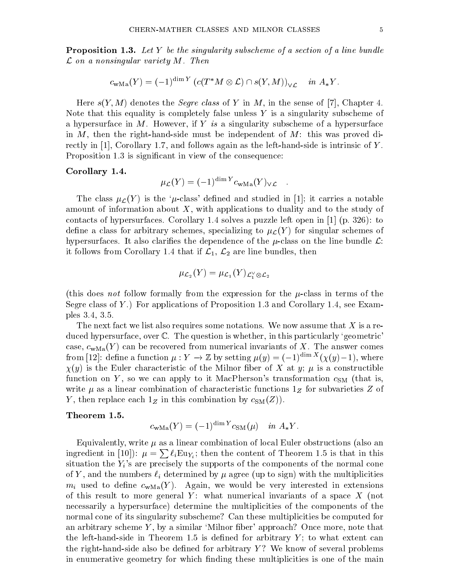**Proposition 1.3.** Let Y be the singularity subscheme of a section of a line bundle  $\mathcal L$  on a nonsingular variety  $M$ . Then

$$
c_{\text{wMa}}(Y) = (-1)^{\dim Y} \left( c(T^*M \otimes \mathcal{L}) \cap s(Y, M) \right)_{\vee \mathcal{L}} \quad in \ A_*Y.
$$

Here  $s(Y, M)$  denotes the *Segre class* of Y in M, in the sense of [7], Chapter 4. Note that this equality is completely false unless  $Y$  is a singularity subscheme of a hypersurface in M. However, if Y is a singularity subscheme of a hypersurface in  $M$ , then the right-hand-side must be independent of  $M$ : this was proved directly in  $[1]$ , Corollary 1.7, and follows again as the left-hand-side is intrinsic of Y. Proposition 1.3 is significant in view of the consequence:

#### Corollary 1.4.

$$
\mu_{\mathcal{L}}(Y) = (-1)^{\dim Y} c_{\text{wMa}}(Y)_{\vee \mathcal{L}} .
$$

The class  $\mu_{\mathcal{L}}(Y)$  is the ' $\mu$ -class' defined and studied in [1]; it carries a notable amount of information about X, with applications to duality and to the study of contacts of hypersurfaces. Corollary 1.4 solves a puzzle left open in  $[1]$  (p. 326): to define a class for arbitrary schemes, specializing to  $\mu$ <sub> $\mathcal{L}(Y)$ </sub> for singular schemes of hypersurfaces. It also clarifies the dependence of the  $\mu$ -class on the line bundle  $\mathcal{L}$ : it follows from Corollary 1.4 that if  $\mathcal{L}_1$ ,  $\mathcal{L}_2$  are line bundles, then

$$
\mu_{\mathcal{L}_2}(Y)=\mu_{\mathcal{L}_1}(Y)_{\mathcal{L}_1^\vee\otimes\mathcal{L}_2}
$$

(this does not follow formally from the expression for the  $\mu$ -class in terms of the Segre class of Y.) For applications of Proposition 1.3 and Corollary 1.4, see Examples 3.4, 3.5.

The next fact we list also requires some notations. We now assume that X is a reduced hypersurface, over C. The question is whether, in this particularly 'geometric' case,  $c_{\text{wMa}}(Y)$  can be recovered from numerical invariants of X. The answer comes from [12]: define a function  $\mu : Y \to \mathbb{Z}$  by setting  $\mu(y) = (-1)^{\max} ( \chi(y) - 1)$ , where  $\chi(y)$  is the Euler characteristic of the Milnor fiber of X at y;  $\mu$  is a constructible function on Y, so we can apply to it MacPherson's transformation  $c_{SM}$  (that is, write  $\mu$  as a linear combination of characteristic functions  $1_Z$  for subvarieties Z of Y, then replace each  $1_Z$  in this combination by  $c_{SM}(Z)$ .

## Theorem 1.5.

$$
c_{\text{wMa}}(Y) = (-1)^{\dim Y} c_{\text{SM}}(\mu) \quad in \ A_*Y.
$$

Equivalently, write  $\mu$  as a linear combination of local Euler obstructions (also an ingredient in [10]):  $\mu = \sum \ell_i \text{Eu}_{Y_i}$ ; then the content of Theorem 1.5 is that in this situation the  $Y_i$ 's are precisely the supports of the components of the normal cone of Y, and the numbers  $\ell_i$  determined by  $\mu$  agree (up to sign) with the multiplicities  $m_i$  used to define  $c_{\text{wMa}}(Y)$ . Again, we would be very interested in extensions of this result to more general Y: what numerical invariants of a space  $X$  (not necessarily a hypersurface) determine the multiplicities of the components of the normal cone of its singularity subscheme? Can these multiplicities be computed for an arbitrary scheme  $Y$ , by a similar 'Milnor fiber' approach? Once more, note that the left-hand-side in Theorem 1.5 is defined for arbitrary  $Y$ ; to what extent can the right-hand-side also be defined for arbitrary  $Y$ ? We know of several problems in enumerative geometry for which nding these multiplicities is one of the main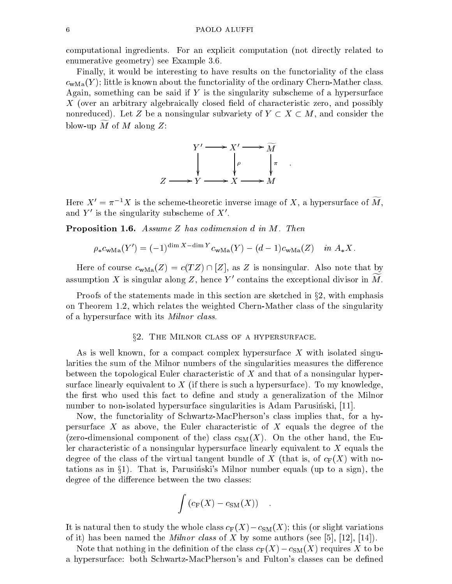computational ingredients. For an explicit computation (not directly related to enumerative geometry) see Example 3.6.

Finally, it would be interesting to have results on the functoriality of the class  $c_{\text{wMa}}(Y)$ ; little is known about the functoriality of the ordinary Chern-Mather class. Again, something can be said if  $Y$  is the singularity subscheme of a hypersurface  $X$  (over an arbitrary algebraically closed field of characteristic zero, and possibly non-enource, let  $Z$  be a non-increasing constant the constant  $\mathcal{L}$  and  $\mathcal{L}$  and consider the constant the constant the constant of  $\mathcal{L}$ blow-up  $M$  of  $M$  along  $Z$ :



Here  $X' = \pi^{-1}X$  is the scheme-theoretic inverse image of X, a hypersurface of  $\widetilde{M}$ and  $Y'$  is the singularity subscheme of  $X'$ .

**Proposition 1.6.** Assume Z has codimension d in M. Then

$$
\rho_* c_{\text{wMa}}(Y') = (-1)^{\dim X - \dim Y} c_{\text{wMa}}(Y) - (d-1)c_{\text{wMa}}(Z) \quad in \ A_*X.
$$

Here of course  $c_{\text{wMa}}(Z) = c(TZ) \cap [Z]$ , as Z is nonsingular. Also note that by assumption X is singular along Z, hence Y' contains the exceptional divisor in M.

Proofs of the statements made in this section are sketched in  $\S 2$ , with emphasis on Theorem 1.2, which relates the weighted Chern-Mather class of the singularity of a hypersurface with its Milnor class.

### §2. THE MILNOR CLASS OF A HYPERSURFACE.

As is well known, for a compact complex hypersurface  $X$  with isolated singularities the sum of the Milnor numbers of the singularities measures the difference between the topological Euler characteristic of X and that of a nonsingular hypersurface linearly equivalent to  $X$  (if there is such a hypersurface). To my knowledge, the first who used this fact to define and study a generalization of the Milnor number to non-isolated hypersurface singularities is Adam Parusinski, [11].

Now, the functoriality of Schwartz-MacPherson's class implies that, for a hypersurface  $X$  as above, the Euler characteristic of  $X$  equals the degree of the (zero-dimensional component of the) class  $c_{SM}(X)$ . On the other hand, the Euler characteristic of a nonsingular hypersurface linearly equivalent to X equals the degree of the class of the virtual tangent bundle of X (that is, of  $c_F(X)$  with notations as in  $\S1$ ). That is, Parusinski's Milnor number equals (up to a sign), the degree of the difference between the two classes:

$$
\int \left( c_{\mathcal{F}}(X) - c_{\mathcal{SM}}(X) \right) \quad .
$$

It is natural then to study the whole class  $c_F(X)-c_{SM}(X)$ ; this (or slight variations of it) has been named the *Milnor class* of X by some authors (see [5], [12], [14]).

Note that nothing in the definition of the class  $c_F(X) - c_{SM}(X)$  requires X to be a hypersurface: both Schwartz-MacPherson's and Fulton's classes can be dened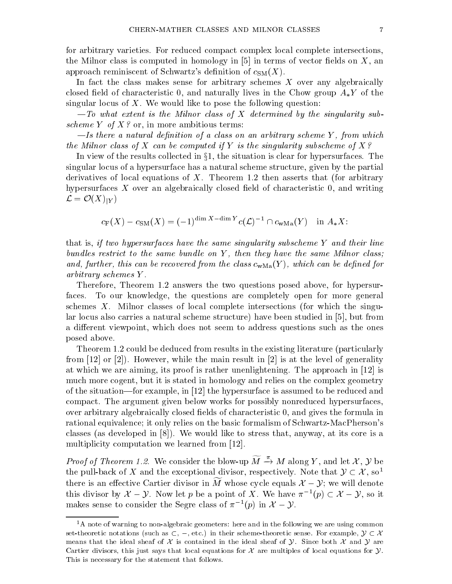for arbitrary varieties. For reduced compact complex local complete intersections, the Milnor class is computed in homology in  $[5]$  in terms of vector fields on X, an approach reminiscent of Schwartz's definition of  $c_{\rm SM}(X)$ .

In fact the class makes sense for arbitrary schemes  $X$  over any algebraically closed field of characteristic 0, and naturally lives in the Chow group  $A_*Y$  of the singular locus of  $X$ . We would like to pose the following question:

 $-To$  what extent is the Milnor class of X determined by the singularity subscheme Y of  $X$ ? or, in more ambitious terms:

 $-Is$  there a natural definition of a class on an arbitrary scheme Y, from which the Milnor class of X can be computed if Y is the singularity subscheme of  $X$ ?

In view of the results collected in  $\S1$ , the situation is clear for hypersurfaces. The singular locus of a hypersurface has a natural scheme structure, given by the partial derivatives of local equations of X. Theorem 1.2 then asserts that (for arbitrary hypersurfaces  $X$  over an algebraically closed field of characteristic  $0$ , and writing  $\mathcal{L} = \mathcal{O}(X)|_Y$ 

$$
c_{\mathcal{F}}(X) - c_{\mathcal{SM}}(X) = (-1)^{\dim X - \dim Y} c(\mathcal{L})^{-1} \cap c_{\mathcal{WMa}}(Y) \quad \text{in } A_*X.
$$

that is, if two hypersurfaces have the same singularity subscheme Y and their line bundles restrict to the same bundle on  $Y$ , then they have the same Milnor class; and, further, this can be recovered from the class  $c_{\text{wMa}}(Y)$ , which can be defined for arbitrary schemes Y .

Therefore, Theorem 1.2 answers the two questions posed above, for hypersurfaces. To our knowledge, the questions are completely open for more general schemes  $X$ . Milnor classes of local complete intersections (for which the singular locus also carries a natural scheme structure) have been studied in [5], but from a different viewpoint, which does not seem to address questions such as the ones posed above.

Theorem 1.2 could be deduced from results in the existing literature (particularly from  $[12]$  or  $[2]$ ). However, while the main result in  $[2]$  is at the level of generality at which we are aiming, its proof is rather unenlightening. The approach in [12] is much more cogent, but it is stated in homology and relies on the complex geometry of the situation—for example, in  $[12]$  the hypersurface is assumed to be reduced and compact. The argument given below works for possibly nonreduced hypersurfaces, over arbitrary algebraically closed fields of characteristic 0, and gives the formula in rational equivalence; it only relies on the basic formalism of Schwartz-MacPherson's classes (as developed in [8]). We would like to stress that, anyway, at its core is a multiplicity computation we learned from [12].

*Proof of Theorem 1.2.* We consider the blow-up  $\widetilde{M} \stackrel{\pi}{\rightarrow} M$  along Y, and let X, Y be the pull-back of X and the exceptional divisor, respectively. Note that  $\mathcal{Y} \subset \mathcal{X}$ , so<sup>1</sup> there is an effective Cartier divisor in  $\widetilde{M}$  whose cycle equals  $\mathcal{X} - \mathcal{Y}$ ; we will denote this divisor by  $\mathcal{X} - \mathcal{Y}$ . Now let p be a point of X. We have  $\pi^{-1}(p) \subset \mathcal{X} - \mathcal{Y}$ , so it makes sense to consider the Segre class of  $\pi^{-1}(p)$  in  $\mathcal{A} = \mathcal{Y}$ . X Y.

 $1<sup>1</sup>A$  note of warning to non-algebraic geometers: here and in the following we are using common set-theoretic notations (such as  $\subset, -$ , etc.) in their scheme-theoretic sense. For example,  $\mathcal{Y} \subset \mathcal{X}$ means that the ideal sheaf of X is contained in the ideal sheaf of  $\mathcal Y$ . Since both X and Y are Cartier divisors, this just says that local equations for  $\mathcal X$  are multiples of local equations for  $\mathcal Y$ . This is necessary for the statement that follows.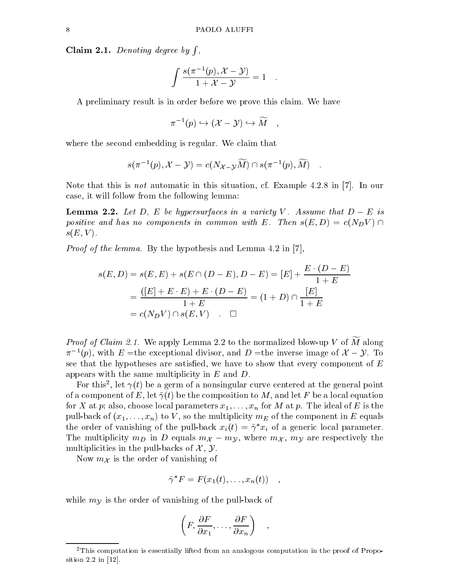Claim 2.1. Denoting degree by  $\int$ , ,

$$
\int \frac{s(\pi^{-1}(p), \mathcal{X} - \mathcal{Y})}{1 + \mathcal{X} - \mathcal{Y}} = 1.
$$

A preliminary result is in order before we prove this claim. We have

$$
\pi^{-1}(p) \hookrightarrow (\mathcal{X} - \mathcal{Y}) \hookrightarrow \widetilde{M} \quad ,
$$

where the second embedding is regular. We claim that

$$
s(\pi^{-1}(p), \mathcal{X} - \mathcal{Y}) = c(N_{\mathcal{X} - \mathcal{Y}}\widetilde{M}) \cap s(\pi^{-1}(p), \widetilde{M})
$$

Note that this is not automatic in this situation, cf. Example 4.2.8 in [7]. In our case, it will follow from the following lemma:

 $\mathcal{L}$ positive and has no components in common with E. Then  $s(E,D) = c(N_D V) \cap$  $s(E, V)$ .

Proof of the lemma. By the hypothesis and Lemma 4.2 in [7],

$$
s(E, D) = s(E, E) + s(E \cap (D - E), D - E) = [E] + \frac{E \cdot (D - E)}{1 + E}
$$
  
= 
$$
\frac{([E] + E \cdot E) + E \cdot (D - E)}{1 + E} = (1 + D) \cap \frac{[E]}{1 + E}
$$
  
= 
$$
c(N_D V) \cap s(E, V) \quad \Box
$$

*Proof of Claim 2.1.* We apply Lemma 2.2 to the normalized blow-up V of  $\widetilde{M}$  along  $\pi$  (p), with  $E =$ the exceptional divisor, and  $D =$ the inverse image of  $\Lambda =$  $X^*$  is the set of  $Y$  interaction of  $Y$  and  $Y$  are  $Y$  is the set of  $Y$  and  $Y$  is  $Y$  . It is that the hypotheses are satisfied, we have to show that every component of  $E$ appears with the same multiplicity in  $E$  and  $D$ .

For this", let  $\gamma(t)$  be a germ of a nonsingular curve centered at the general point  $\gamma(t)$ of a component of E, let  $\tilde{\gamma}(t)$  be the composition to M, and let F be a local equation for X at p; also, choose local parameters  $x_1, \ldots, x_n$  for M at p. The ideal of E is the pull-back of  $(x_1,\ldots,x_n)$  to V, so the multiplicity  $m_E$  of the component in E equals the order of vanishing of the pull-back  $x_i(t) = \tilde{\gamma}^* x_i$  of a generic local parameter. The multiplicity  $m_D$  in D equals  $m_X - m_Y$ , where  $m_X$ ,  $m_Y$  are respectively the multiplicities in the pull-backs of  $\mathcal{X}, \mathcal{Y}.$ 

Now  $m<sub>X</sub>$  is the order of vanishing of

$$
\tilde{\gamma}^*F = F(x_1(t), \ldots, x_n(t)) \quad ,
$$

while  $m_{\mathcal{V}}$  is the order of vanishing of the pull-back of

$$
\left(F, \frac{\partial F}{\partial x_1}, \ldots, \frac{\partial F}{\partial x_n}\right) ,
$$

<sup>&</sup>lt;sup>2</sup>This computation is essentially lifted from an analogous computation in the proof of Proposition 2.2 in [12].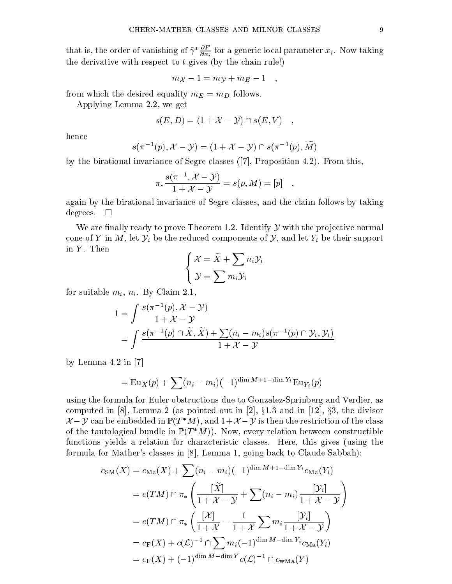that is, the order of vanishing of  $\gamma \cdot \frac{1}{\partial x_i}$  for a generic local parameter  $x_i$ . Now taking the derivative with respect to  $t$  gives (by the chain rule!)

$$
m_{\mathcal{X}}-1=m_{\mathcal{Y}}+m_E-1\quad ,
$$

from which the desired equality  $m_E = m_D$  follows.

Applying Lemma 2.2, we get

$$
s(E, D) = (1 + \mathcal{X} - \mathcal{Y}) \cap s(E, V) ,
$$

hence

$$
s(\pi^{-1}(p), \mathcal{X} - \mathcal{Y}) = (1 + \mathcal{X} - \mathcal{Y}) \cap s(\pi^{-1}(p), M)
$$

by the birational invariance of Segre classes ([7], Proposition 4.2). From this,

$$
\pi_* \frac{s(\pi^{-1}, \mathcal{X} - \mathcal{Y})}{1 + \mathcal{X} - \mathcal{Y}} = s(p, M) = [p] \quad ,
$$

again by the birational invariance of Segre classes, and the claim follows by taking degrees.  $\square$ 

We are finally ready to prove Theorem 1.2. Identify  $\mathcal Y$  with the projective normal cone of Y in M, let  $\mathcal{Y}_i$  be the reduced components of  $\mathcal{Y}_i$ , and let  $Y_i$  be their support in  $Y$ . Then and the state of the state of the state of the state of the state of the state of the state of the state of the

$$
\left\{ \begin{aligned} \mathcal{X} &= \widetilde{X} + \sum n_i \mathcal{Y}_i \\ \mathcal{Y} &= \sum m_i \mathcal{Y}_i \end{aligned} \right.
$$

for suitable  $m_i$ ,  $n_i$ . By Claim 2.1,

$$
1 = \int \frac{s(\pi^{-1}(p), \mathcal{X} - \mathcal{Y})}{1 + \mathcal{X} - \mathcal{Y}}
$$
  
= 
$$
\int \frac{s(\pi^{-1}(p) \cap \widetilde{X}, \widetilde{X}) + \sum (n_i - m_i)s(\pi^{-1}(p) \cap \mathcal{Y}_i, \mathcal{Y}_i)}{1 + \mathcal{X} - \mathcal{Y}}
$$

by Lemma 4.2 in [7]

$$
= \mathop{\mathrm{Eu}}\nolimits_X(p) + \sum_{i} (n_i - m_i)(-1)^{\dim M + 1 - \dim Y_i} \mathop{\mathrm{Eu}}\nolimits_{Y_i}(p)
$$

using the formula for Euler obstructions due to Gonzalez-Sprinberg and Verdier, as computed in [8], Lemma 2 (as pointed out in [2], x1.3 and in [12], x3, the divisor  $\mathcal{X}-\mathcal{Y}$  can be embedded in  $\mathbb{P}(T^*M)$ , and  $1+\mathcal{X}-\mathcal{Y}$  is then the restriction of the class of the tautological bundle in  $\mathbb{P}(T^*M)$ . Now, every relation between constructible functions yields a relation for characteristic classes. Here, this gives (using the formula for Mather's classes in [8], Lemma 1, going back to Claude Sabbah):

$$
c_{\rm SM}(X) = c_{\rm Ma}(X) + \sum (n_i - m_i)(-1)^{\dim M + 1 - \dim Y_i} c_{\rm Ma}(Y_i)
$$
  
=  $c(TM) \cap \pi_* \left( \frac{[\tilde{X}]}{1 + \mathcal{X} - \mathcal{Y}} + \sum (n_i - m_i) \frac{[\mathcal{Y}_i]}{1 + \mathcal{X} - \mathcal{Y}} \right)$   
=  $c(TM) \cap \pi_* \left( \frac{[\mathcal{X}]}{1 + \mathcal{X}} - \frac{1}{1 + \mathcal{X}} \sum m_i \frac{[\mathcal{Y}_i]}{1 + \mathcal{X} - \mathcal{Y}} \right)$   
=  $c_{\rm F}(X) + c(\mathcal{L})^{-1} \cap \sum m_i(-1)^{\dim M - \dim Y_i} c_{\rm Ma}(Y_i)$   
=  $c_{\rm F}(X) + (-1)^{\dim M - \dim Y} c(\mathcal{L})^{-1} \cap c_{\rm wMa}(Y)$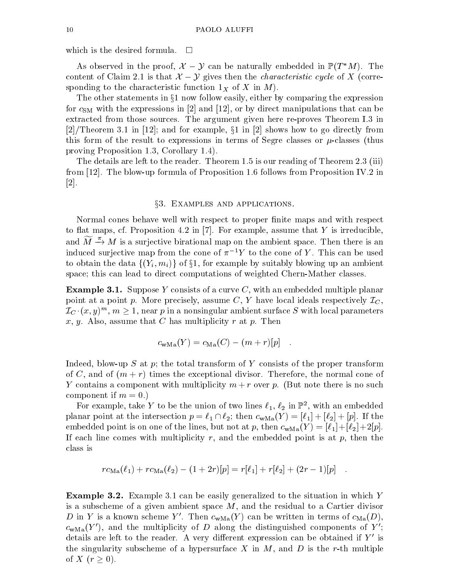which is the desired formula.  $\overline{\phantom{a}}$ 

As observed in the proof,  $\lambda - y$  can be naturally embedded in  $\mathbb{F}(T, M)$ . The sponding to the characteristic function  $1_X$  of X in M).

The other statements in  $\S1$  now follow easily, either by comparing the expression for  $c_{SM}$  with the expressions in [2] and [12], or by direct manipulations that can be extracted from those sources. The argument given here re-proves Theorem I.3 in  $\blacksquare$  in [2], and for example,  $\blacksquare$  in [2] shows how to go directly from to go directly from to go directly from to go directly from the show to go directly from the show to go directly from the show to go directly fro this form of the result to expressions in terms of Segre classes or  $\mu$ -classes (thus proving Proposition 1.3, Corollary 1.4).

The details are left to the reader. Theorem 1.5 is our reading of Theorem 2.3 (iii) from [12]. The blow-up formula of Proposition 1.6 follows from Proposition IV.2 in [2].

#### x3. Examples and applications.

Normal cones behave well with respect to proper finite maps and with respect to flat maps, cf. Proposition 4.2 in [7]. For example, assume that Y is irreducible, and  $\widetilde{M} \stackrel{\pi}{\rightarrow} M$  is a surjective birational map on the ambient space. Then there is an induced surjective map from the cone of  $\pi^{-1}Y$  to the cone of Y. This can be used to obtain the data  $\{(Y_i, m_i)\}\$  of §1, for example by suitably blowing up an ambient space; this can lead to direct computations of weighted Chern-Mather classes.

**Example 3.1.** Suppose Y consists of a curve C, with an embedded multiple planar point at a point p. More precisely, assume C, Y have local ideals respectively  $\mathcal{I}_C$ .  $\mathcal{I}_{C} \cdot (x,y)^{m}, \, m \geq 1, \, \text{near $p$ in a nonsingular ambient surface $S$ with local parameters}$ x, y. Also, assume that C has multiplicity  $r$  at  $p$ . Then

$$
c_{\text{wMa}}(Y) = c_{\text{Ma}}(C) - (m+r)[p] .
$$

Indeed, blow-up S at p; the total transform of Y consists of the proper transform of C, and of  $(m + r)$  times the exceptional divisor. Therefore, the normal cone of Y contains a component with multiplicity  $m + r$  over p. (But note there is no such component if  $m = 0$ .

For example, take  $Y$  to be the union of two lines  $\ell_1, \, \ell_2$  in F , with an embedded planar point at the intersection  $p = \ell_1 \cap \ell_2$ ; then  $c_{\text{wMa}}(Y) = [\ell_1]+[\ell_2]+[p]$ . If the embedded point is on one of the lines, but not at p, then  $c_{\text{wMa}}(Y)=[\ell_1]+[\ell_2]+2[p]$ . If each line comes with multiplicity r, and the embedded point is at  $p$ , then the class is

$$
rc_{\text{Ma}}(\ell_1) + rc_{\text{Ma}}(\ell_2) - (1+2r)[p] = r[\ell_1] + r[\ell_2] + (2r-1)[p] \quad .
$$

Example 3.2. Example 3.1 can be easily generalized to the situation in which Y is a subscheme of a given ambient space M, and the residual to a Cartier divisor D in Y is a known scheme Y'. Then  $c_{\text{wMa}}(Y)$  can be written in terms of  $c_{\text{Ma}}(D)$ ,  $c<sub>wMa</sub>(Y')$ , and the multiplicity of D along the distinguished components of Y'; details are left to the reader. A very different expression can be obtained if  $Y'$  is the singularity subscheme of a hypersurface X in  $M$ , and D is the r-th multiple of X (r 0).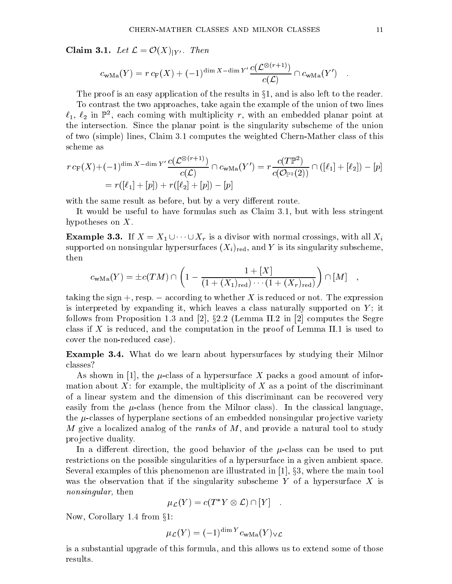Claim 3.1. Let <sup>L</sup> <sup>=</sup> <sup>O</sup>(X)jY <sup>0</sup> . Then

$$
c_{\text{wMa}}(Y) = r c_{\text{F}}(X) + (-1)^{\dim X - \dim Y'} \frac{c(\mathcal{L}^{\otimes (r+1)})}{c(\mathcal{L})} \cap c_{\text{wMa}}(Y')
$$

The proof is an easy application of the results in  $\S1$ , and is also left to the reader.

To contrast the two approaches, take again the example of the union of two lines  $\ell_1, \, \ell_2$  in FF, each coming with multiplicity  $r,$  with an embedded planar point at the intersection. Since the planar point is the singularity subscheme of the union of two (simple) lines, Claim 3.1 computes the weighted Chern-Mather class of this scheme as

$$
r c_{\mathcal{F}}(X) + (-1)^{\dim X - \dim Y'} \frac{c(\mathcal{L}^{\otimes (r+1)})}{c(\mathcal{L})} \cap c_{\mathbf{wMa}}(Y') = r \frac{c(T\mathbb{P}^2)}{c(\mathcal{O}_{\mathbb{P}^2}(2))} \cap ([\ell_1] + [\ell_2]) - [p]
$$
  
=  $r([\ell_1] + [p]) + r([\ell_2] + [p]) - [p]$ 

with the same result as before, but by a very different route.

It would be useful to have formulas such as Claim 3.1, but with less stringent hypotheses on X.

**Example 3.3.** If  $X = X_1 \cup \cdots \cup X_r$  is a divisor with normal crossings, with all  $X_i$ supported on nonsingular hypersurfaces  $(X_i)_{\text{red}}$ , and Y is its singularity subscheme, then

$$
c_{\text{wMa}}(Y) = \pm c(TM) \cap \left(1 - \frac{1 + [X]}{(1 + (X_1)_{\text{red}}) \cdots (1 + (X_r)_{\text{red}})}\right) \cap [M] ,
$$

taking the sign  $+$ , resp.  $-$  according to whether X is reduced or not. The expression is interpreted by expanding it, which leaves a class naturally supported on  $Y$ ; it follows from Proposition 1.3 and [2],  $\S 2.2$  (Lemma II.2 in [2] computes the Segre class if X is reduced, and the computation in the proof of Lemma II.1 is used to cover the non-reduced case).

Example 3.4. What do we learn about hypersurfaces by studying their Milnor classes?

As shown in  $|1|$ , the  $\mu$ -class of a hypersurface X packs a good amount of information about  $X$ : for example, the multiplicity of  $X$  as a point of the discriminant of a linear system and the dimension of this discriminant can be recovered very easily from the  $\mu$ -class (hence from the Milnor class). In the classical language, the  $\mu$ -classes of hyperplane sections of an embedded nonsingular projective variety M give a localized analog of the ranks of  $M$ , and provide a natural tool to study pro jective duality.

In a different direction, the good behavior of the  $\mu$ -class can be used to put restrictions on the possible singularities of a hypersurface in a given ambient space. Several examples of this phenomenon are illustrated in  $[1]$ ,  $\S 3$ , where the main tool was the observation that if the singularity subscheme Y of a hypersurface X is nonsingular, then

$$
\mu_{\mathcal{L}}(Y) = c(T^*Y \otimes \mathcal{L}) \cap [Y] \quad .
$$

Now, Corollary 1.4 from  $\S1$ :

$$
\mu_{\mathcal{L}}(Y) = (-1)^{\dim Y} c_{\text{wMa}}(Y)_{\vee \mathcal{L}}
$$

is a substantial upgrade of this formula, and this allows us to extend some of those results.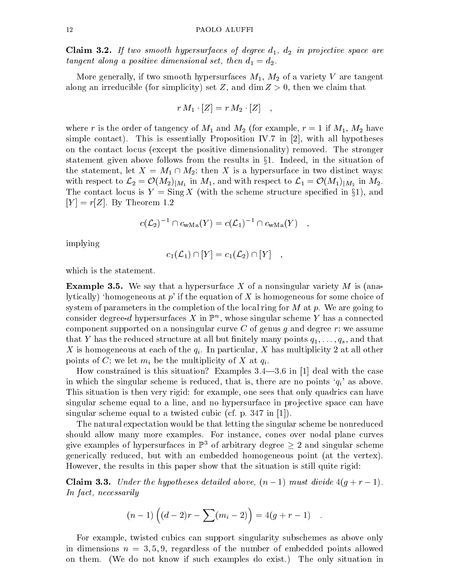**Claim 3.2.** If two smooth hypersurfaces of degree  $d_1$ ,  $d_2$  in projective space are tangent along a positive dimensional set, then  $d_1 = d_2$ .

More generally, if two smooth hypersurfaces  $M_1$ ,  $M_2$  of a variety V are tangent along an irreducible (for simplicity) set Z, and dim  $Z > 0$ , then we claim that

$$
r\,M_1\cdot [Z]=r\,M_2\cdot [Z]\quad ,
$$

where r is the order of tangency of  $M_1$  and  $M_2$  (for example,  $r = 1$  if  $M_1, M_2$  have simple contact). This is essentially Proposition IV.7 in  $[2]$ , with all hypotheses on the contact locus (except the positive dimensionality) removed. The stronger statement given above follows from the results in x1. Indeed, in the situation of the statement, let  $X = M_1 \cap M_2$ ; then X is a hypersurface in two distinct ways: in the column  $\alpha$  is a contract to L2  $\alpha$  in  $\alpha$  in  $\alpha$  in  $\alpha$  in  $\alpha$  in  $\alpha$  in  $\alpha$  in  $\alpha$  in  $\alpha$  in  $\alpha$  in  $\alpha$  in  $\alpha$  in  $\alpha$  in  $\alpha$  in  $\alpha$  in  $\alpha$  in  $\alpha$  in  $\alpha$  in  $\alpha$  in  $\alpha$  in  $\alpha$  in  $\alpha$  in  $\alpha$  i The contact locus is  $Y = \text{Sing } X$  (with the scheme structure specified in §1), and  $[Y] = r[Z]$ . By Theorem 1.2

$$
c(\mathcal{L}_2)^{-1} \cap c_{\text{wMa}}(Y) = c(\mathcal{L}_1)^{-1} \cap c_{\text{wMa}}(Y) \quad ,
$$

implying

$$
c_1(\mathcal{L}_1) \cap [Y] = c_1(\mathcal{L}_2) \cap [Y] \quad ,
$$

which is the statement.

**Example 3.5.** We say that a hypersurface X of a nonsingular variety  $M$  is (analytically) 'homogeneous at  $p'$  if the equation of X is homogeneous for some choice of system of parameters in the completion of the local ring for  $M$  at  $p$ . We are going to consider degree- $a$  hypersurfaces  $A$  in  $\mathbb{P}^n$ , whose singular scheme  $Y$  has a connected component supported on a nonsingular curve C of genus g and degree  $r$ ; we assume that Y has the reduced structure at all but finitely many points  $q_1, \ldots, q_s$ , and that X is homogeneous at each of the  $q_i$ . In particular, X has multiplicity 2 at all other points of C; we let  $m_i$  be the multiplicity of X at  $q_i$ .

How constrained is this situation? Examples  $3.4-3.6$  in [1] deal with the case in which the singular scheme is reduced, that is, there are no points  $'q_i'$  as above. This situation is then very rigid: for example, one sees that only quadrics can have singular scheme equal to a line, and no hypersurface in projective space can have singular scheme equal to a twisted cubic (cf. p. 347 in [1]).

The natural expectation would be that letting the singular scheme be nonreduced should allow many more examples. For instance, cones over nodal plane curves give examples of hypersurfaces in  $\mathbb{P}^3$  of arbitrary degree  $\geq 2$  and singular scheme generically reduced, but with an embedded homogeneous point (at the vertex). However, the results in this paper show that the situation is still quite rigid:

Claim 3.3. Under the hypotheses detailed above, (n 1) must divide 4(g <sup>+</sup> <sup>r</sup> 1). In fact, necessarily

$$
(n-1)\left((d-2)r - \sum(m_i-2)\right) = 4(g+r-1) .
$$

For example, twisted cubics can support singularity subschemes as above only in dimensions  $n = 3, 5, 9$ , regardless of the number of embedded points allowed on them. (We do not know if such examples do exist.) The only situation in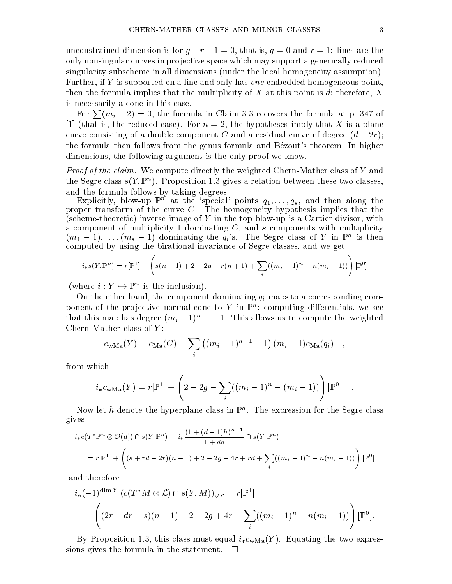unconstrained dimension is for  $g + r - 1 = 0$ , that is,  $g = 0$  and  $r = 1$ : lines are the only nonsingular curves in pro jective space which may support a generically reduced singularity subscheme in all dimensions (under the local homogeneity assumption). Further, if Y is supported on a line and only has *one* embedded homogeneous point. then the formula implies that the multiplicity of X at this point is d; therefore, X is necessarily a cone in this case.

For  $\sum (m_i - 2) = 0$ , the formula in Claim 3.3 recovers the formula at p. 347 of [1] (that is, the reduced case). For  $n = 2$ , the hypotheses imply that X is a plane curve consisting of a double component component component curve of degree  $\alpha$  residual curve of degree (d  $2$ r); the formula then follows from the genus formula and Bezout's theorem. In higher dimensions, the following argument is the only proof we know.

*Proof of the claim.* We compute directly the weighted Chern-Mather class of Y and the Segre class  $s(Y, \mathbb{F}^n)$ . Proposition 1.3 gives a relation between these two classes, and the formula follows by taking degrees.

Explicitly, blow-up  $\mathbb{P}^n$  at the 'special' points  $q_1,\ldots,q_s$ , and then along the proper transform of the curve C. The homogeneity hypothesis implies that the (scheme-theoretic) inverse image of Y in the top blow-up is a Cartier divisor, with a component of multiplicity 1 dominating  $C$ , and s components with multiplicity  $(m_1-1),\ldots,(m_s-1)$  dominating the  $q_i$ 's. The Segre class of Y in  $\mathbb{P}^n$  is then computed by using the birational invariance of Segre classes, and we get

$$
i_*s(Y,\mathbb{P}^n) = r[\mathbb{P}^1] + \left(s(n-1) + 2 - 2g - r(n+1) + \sum_i ((m_i - 1)^n - n(m_i - 1))\right)[\mathbb{P}^0]
$$

(where  $i : I \rightarrow \mathbb{F}$  is the inclusion).

On the other hand, the component dominating  $q_i$  maps to a corresponding component of the projective normal cone to Y in F<sup>n</sup>; computing differentials, we see that this map has degree  $(m_i - 1)^{n-1} - 1$ . This allows us to compute the weighted Chern-Mather class of  $Y$ :

$$
c_{\text{wMa}}(Y) = c_{\text{Ma}}(C) - \sum_{i} ((m_i - 1)^{n-1} - 1) (m_i - 1) c_{\text{Ma}}(q_i) ,
$$

from which

$$
i_*c_{\text{wMa}}(Y) = r[\mathbb{P}^1] + \left(2 - 2g - \sum_i ((m_i - 1)^n - (m_i - 1))\right)[\mathbb{P}^0] .
$$

Now let  $n$  denote the hyperplane class in  $\mathbb F$  . The expression for the Segre class gives

$$
i_*c(T^*\mathbb{P}^n \otimes \mathcal{O}(d)) \cap s(Y, \mathbb{P}^n) = i_* \frac{(1 + (d-1)h)^{n+1}}{1 + dh} \cap s(Y, \mathbb{P}^n)
$$
  
=  $r[\mathbb{P}^1] + \left( (s + rd - 2r)(n-1) + 2 - 2g - 4r + rd + \sum_i ((m_i - 1)^n - n(m_i - 1)) \right) [\mathbb{P}^0]$ 

and therefore

$$
i_{*}(-1)^{\dim Y} (c(T^{*}M \otimes \mathcal{L}) \cap s(Y, M))_{\vee \mathcal{L}} = r[\mathbb{P}^{1}]
$$
  
+ 
$$
\left( (2r - dr - s)(n - 1) - 2 + 2g + 4r - \sum_{i} ((m_{i} - 1)^{n} - n(m_{i} - 1)) \right) [\mathbb{P}^{0}].
$$

By Proposition 1.3, this class must equal  $i_*c_{\text{wMa}}(Y)$ . Equating the two expressions gives the formula in the statement.  $\Box$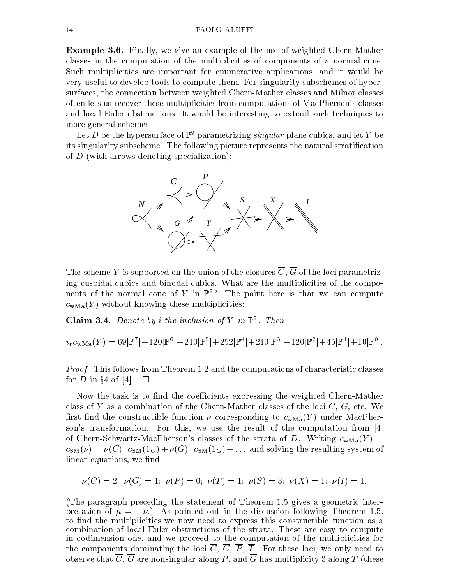Example 3.6. Finally, we give an example of the use of weighted Chern-Mather classes in the computation of the multiplicities of components of a normal cone. Such multiplicities are important for enumerative applications, and it would be very useful to develop tools to compute them. For singularity subschemes of hypersurfaces, the connection between weighted Chern-Mather classes and Milnor classes often lets us recover these multiplicities from computations of MacPherson's classes and local Euler obstructions. It would be interesting to extend such techniques to more general schemes.

Let D be the hypersurface of  $\mathbb{P}^9$  parametrizing *singular* plane cubics, and let Y be its singularity subscheme. The following picture represents the natural stratication of  $D$  (with arrows denoting specialization):



The scheme Y is supported on the union of the closures  $\overline{C}$ ,  $\overline{G}$  of the loci parametrizing cuspidal cubics and binodal cubics. What are the multiplicities of the components of the normal cone of Y in  $\mathbb{P}^9$ ? The point here is that we can compute  $c<sub>wMa</sub>(Y)$  without knowing these multiplicities:

**Claim 5.4.** Denote by *t* the inclusion of Y in F  $\cdot$  1 hen

$$
i_*c_{\text{wMa}}(Y)=69[\mathbb{P}^7]+120[\mathbb{P}^6]+210[\mathbb{P}^5]+252[\mathbb{P}^4]+210[\mathbb{P}^3]+120[\mathbb{P}^2]+45[\mathbb{P}^1]+10[\mathbb{P}^0].
$$

*Proof.* This follows from Theorem 1.2 and the computations of characteristic classes for D in §4 of [4].  $\Box$ 

Now the task is to find the coefficients expressing the weighted Chern-Mather class of Y as a combination of the Chern-Mather classes of the loci  $C, G$ , etc. We first find the constructible function  $\nu$  corresponding to  $c_{\text{wMa}}(Y)$  under MacPherson's transformation. For this, we use the result of the computation from [4] of Chern-Schwartz-MacPherson's classes of the strata of D. Writing  $c_{\text{wMa}}(Y)$  =  $c_{\text{SM}}(\nu) = \nu(C) \cdot c_{\text{SM}}(1_C) + \nu(G) \cdot c_{\text{SM}}(1_G) + \dots$  and solving the resulting system of linear equations, we find

$$
\nu(C) = 2; \ \nu(G) = 1; \ \nu(P) = 0; \ \nu(T) = 1; \ \nu(S) = 3; \ \nu(X) = 1; \ \nu(I) = 1.
$$

(The paragraph preceding the statement of Theorem 1.5 gives a geometric interpretation of  $\mu = -\nu$ .) As pointed out in the discussion following Theorem 1.5, to find the multiplicities we now need to express this constructible function as a combination of local Euler obstructions of the strata. These are easy to compute in codimension one, and we proceed to the computation of the multiplicities for the components dominating the loci  $\overline{C}$ ,  $\overline{G}$ ,  $\overline{P}$ ,  $\overline{T}$ . For these loci, we only need to observe that  $\overline{C}$ ,  $\overline{G}$  are nonsingular along P, and  $\overline{G}$  has multiplicity 3 along T (these